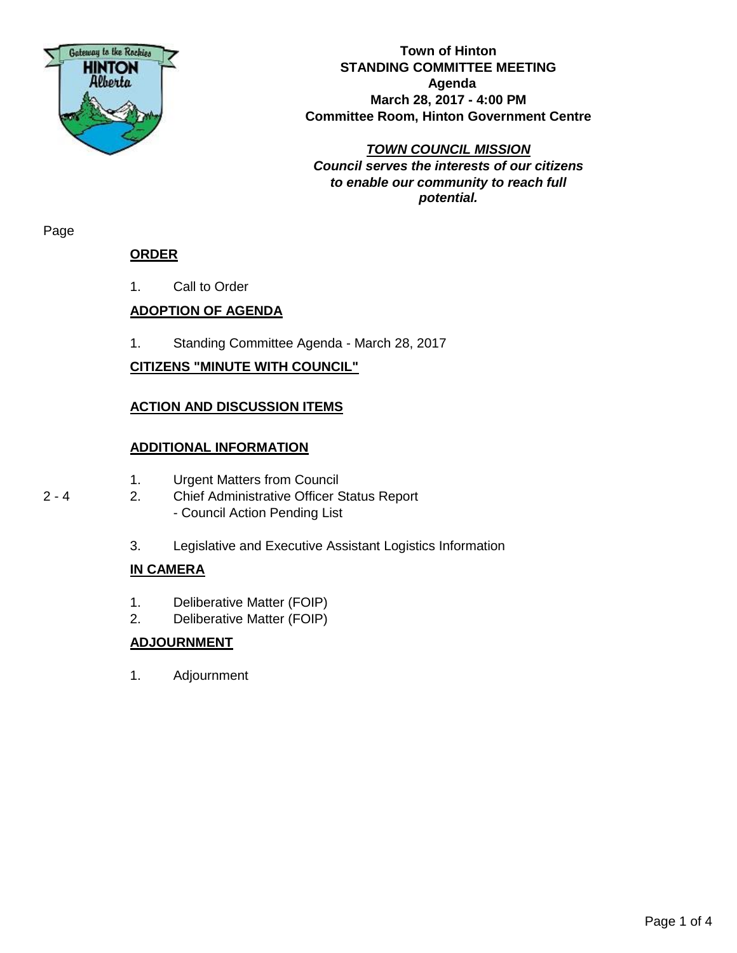

**Town of Hinton STANDING COMMITTEE MEETING Agenda March 28, 2017 - 4:00 PM Committee Room, Hinton Government Centre**

*TOWN COUNCIL MISSION Council serves the interests of our citizens to enable our community to reach full potential.*

Page

#### **ORDER**

1. Call to Order

#### **ADOPTION OF AGENDA**

1. Standing Committee Agenda - March 28, 2017

#### **CITIZENS "MINUTE WITH COUNCIL"**

#### **ACTION AND DISCUSSION ITEMS**

#### **ADDITIONAL INFORMATION**

- 1. Urgent Matters from Council
- 2 4 2. Chief Administrative Officer Status Report - Council Action Pending List
	- 3. Legislative and Executive Assistant Logistics Information

#### **IN CAMERA**

- 1. Deliberative Matter (FOIP)
- 2. Deliberative Matter (FOIP)

#### **ADJOURNMENT**

1. Adjournment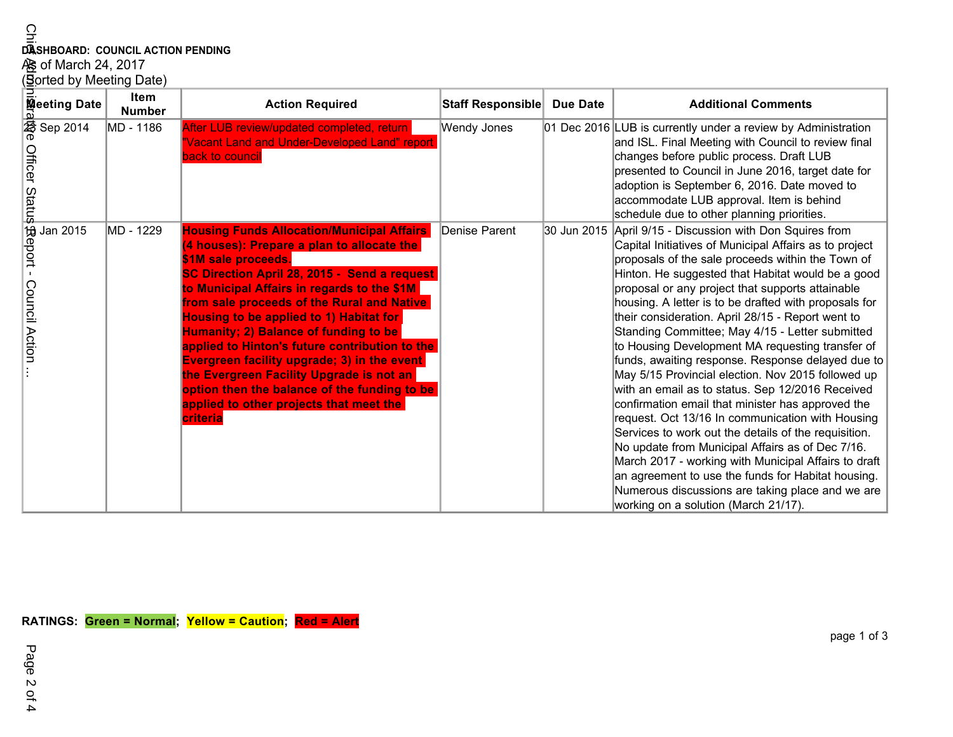# **DASHBOARD: COUNCIL ACTION PENDING<br>As of March 24, 2017<br><u>(B</u>orted by Meeting Date)**

|  | Sorted by Meeting Date) |  |
|--|-------------------------|--|
|  |                         |  |

| ဌ                                                                                  |                          |                                                                                                                                                                                                                                                                                                                                                                                                                                                                                                                                                                                                                           |                   |                 |                                                                                                                                                                                                                                                                                                                                                                                                                                                                                                                                                                                                                                                                                                                                                                                                                                                                                                                                                                                                                                                                                                      |  |
|------------------------------------------------------------------------------------|--------------------------|---------------------------------------------------------------------------------------------------------------------------------------------------------------------------------------------------------------------------------------------------------------------------------------------------------------------------------------------------------------------------------------------------------------------------------------------------------------------------------------------------------------------------------------------------------------------------------------------------------------------------|-------------------|-----------------|------------------------------------------------------------------------------------------------------------------------------------------------------------------------------------------------------------------------------------------------------------------------------------------------------------------------------------------------------------------------------------------------------------------------------------------------------------------------------------------------------------------------------------------------------------------------------------------------------------------------------------------------------------------------------------------------------------------------------------------------------------------------------------------------------------------------------------------------------------------------------------------------------------------------------------------------------------------------------------------------------------------------------------------------------------------------------------------------------|--|
| DASHBOARD: COUNCIL ACTION PENDING<br>AS of March 24, 2017                          |                          |                                                                                                                                                                                                                                                                                                                                                                                                                                                                                                                                                                                                                           |                   |                 |                                                                                                                                                                                                                                                                                                                                                                                                                                                                                                                                                                                                                                                                                                                                                                                                                                                                                                                                                                                                                                                                                                      |  |
|                                                                                    | (Sorted by Meeting Date) |                                                                                                                                                                                                                                                                                                                                                                                                                                                                                                                                                                                                                           |                   |                 |                                                                                                                                                                                                                                                                                                                                                                                                                                                                                                                                                                                                                                                                                                                                                                                                                                                                                                                                                                                                                                                                                                      |  |
| <b>Meeting Date</b>                                                                | Item<br><b>Number</b>    | <b>Action Required</b>                                                                                                                                                                                                                                                                                                                                                                                                                                                                                                                                                                                                    | Staff Responsible | <b>Due Date</b> | <b>Additional Comments</b>                                                                                                                                                                                                                                                                                                                                                                                                                                                                                                                                                                                                                                                                                                                                                                                                                                                                                                                                                                                                                                                                           |  |
| $\frac{2}{3}$ Sep 2014<br>officer Statu\$\$eport - C<br>allicer Statu\$\$eport - C | MD - 1186                | After LUB review/updated completed, return<br>"Vacant Land and Under-Developed Land" report<br>back to council                                                                                                                                                                                                                                                                                                                                                                                                                                                                                                            | Wendy Jones       |                 | 01 Dec 2016 LUB is currently under a review by Administration<br>and ISL. Final Meeting with Council to review final<br>changes before public process. Draft LUB<br>presented to Council in June 2016, target date for<br>adoption is September 6, 2016. Date moved to<br>accommodate LUB approval. Item is behind<br>schedule due to other planning priorities.                                                                                                                                                                                                                                                                                                                                                                                                                                                                                                                                                                                                                                                                                                                                     |  |
| <b>Council Action</b>                                                              | MD - 1229                | <b>Housing Funds Allocation/Municipal Affairs</b><br>(4 houses): Prepare a plan to allocate the<br>\$1M sale proceeds.<br>SC Direction April 28, 2015 - Send a request<br>to Municipal Affairs in regards to the \$1M<br>from sale proceeds of the Rural and Native<br>Housing to be applied to 1) Habitat for<br><b>Humanity; 2) Balance of funding to be</b><br>applied to Hinton's future contribution to the<br><b>Evergreen facility upgrade; 3) in the event</b><br>the Evergreen Facility Upgrade is not an<br>option then the balance of the funding to be<br>applied to other projects that meet the<br>criteria | Denise Parent     |                 | 30 Jun 2015 April 9/15 - Discussion with Don Squires from<br>Capital Initiatives of Municipal Affairs as to project<br>proposals of the sale proceeds within the Town of<br>Hinton. He suggested that Habitat would be a good<br>proposal or any project that supports attainable<br>housing. A letter is to be drafted with proposals for<br>their consideration. April 28/15 - Report went to<br>Standing Committee; May 4/15 - Letter submitted<br>to Housing Development MA requesting transfer of<br>funds, awaiting response. Response delayed due to<br>May 5/15 Provincial election. Nov 2015 followed up<br>with an email as to status. Sep 12/2016 Received<br>confirmation email that minister has approved the<br>request. Oct 13/16 In communication with Housing<br>Services to work out the details of the requisition.<br>No update from Municipal Affairs as of Dec 7/16.<br>March 2017 - working with Municipal Affairs to draft<br>an agreement to use the funds for Habitat housing.<br>Numerous discussions are taking place and we are<br>working on a solution (March 21/17). |  |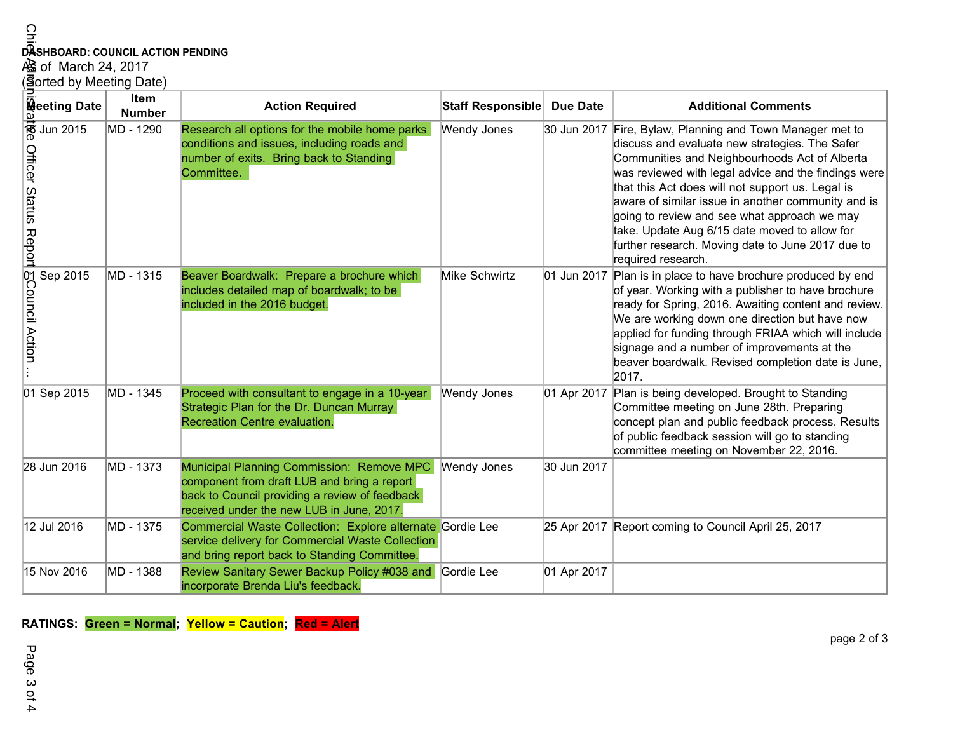## **DASHBOARD: COUNCIL ACTION PENDING**

| Ğ<br>DASHBOARD: COUNCIL ACTION PENDING<br>心 of March 24, 2017<br>(3gorted by Meeting Date) |                       |                                                                                                                                                                                         |                    |                 |                                                                                                                                                                                                                                                                                                                                                                                                                                                                                                            |
|--------------------------------------------------------------------------------------------|-----------------------|-----------------------------------------------------------------------------------------------------------------------------------------------------------------------------------------|--------------------|-----------------|------------------------------------------------------------------------------------------------------------------------------------------------------------------------------------------------------------------------------------------------------------------------------------------------------------------------------------------------------------------------------------------------------------------------------------------------------------------------------------------------------------|
| <b>Meeting Date</b>                                                                        | Item<br><b>Number</b> | <b>Action Required</b>                                                                                                                                                                  | Staff Responsible  | <b>Due Date</b> | <b>Additional Comments</b>                                                                                                                                                                                                                                                                                                                                                                                                                                                                                 |
| $\frac{1}{6}$ Jun 2015<br><b>Officer Status Report</b>                                     | MD - 1290             | Research all options for the mobile home parks<br>conditions and issues, including roads and<br>number of exits. Bring back to Standing<br>Committee.                                   | Wendy Jones        |                 | 30 Jun 2017 Fire, Bylaw, Planning and Town Manager met to<br>discuss and evaluate new strategies. The Safer<br>Communities and Neighbourhoods Act of Alberta<br>was reviewed with legal advice and the findings were<br>that this Act does will not support us. Legal is<br>aware of similar issue in another community and is<br>going to review and see what approach we may<br>take. Update Aug 6/15 date moved to allow for<br>further research. Moving date to June 2017 due to<br>required research. |
| <b>SCouncil Action</b><br>Sep 2015                                                         | MD - 1315             | Beaver Boardwalk: Prepare a brochure which<br>includes detailed map of boardwalk; to be<br>included in the 2016 budget.                                                                 | Mike Schwirtz      |                 | 01 Jun 2017 Plan is in place to have brochure produced by end<br>of year. Working with a publisher to have brochure<br>ready for Spring, 2016. Awaiting content and review.<br>We are working down one direction but have now<br>applied for funding through FRIAA which will include<br>signage and a number of improvements at the<br>beaver boardwalk. Revised completion date is June,<br>2017.                                                                                                        |
| 01 Sep 2015                                                                                | MD - 1345             | Proceed with consultant to engage in a 10-year<br>Strategic Plan for the Dr. Duncan Murray<br>Recreation Centre evaluation.                                                             | <b>Wendy Jones</b> |                 | 01 Apr 2017 Plan is being developed. Brought to Standing<br>Committee meeting on June 28th. Preparing<br>concept plan and public feedback process. Results<br>of public feedback session will go to standing<br>committee meeting on November 22, 2016.                                                                                                                                                                                                                                                    |
| 28 Jun 2016                                                                                | MD - 1373             | Municipal Planning Commission: Remove MPC<br>component from draft LUB and bring a report<br>back to Council providing a review of feedback<br>received under the new LUB in June, 2017. | <b>Wendy Jones</b> | 30 Jun 2017     |                                                                                                                                                                                                                                                                                                                                                                                                                                                                                                            |
| 12 Jul 2016                                                                                | MD - 1375             | Commercial Waste Collection: Explore alternate Gordie Lee<br>service delivery for Commercial Waste Collection<br>and bring report back to Standing Committee.                           |                    |                 | 25 Apr 2017 Report coming to Council April 25, 2017                                                                                                                                                                                                                                                                                                                                                                                                                                                        |
| 15 Nov 2016                                                                                | MD - 1388             | Review Sanitary Sewer Backup Policy #038 and<br>incorporate Brenda Liu's feedback.                                                                                                      | Gordie Lee         | 01 Apr 2017     |                                                                                                                                                                                                                                                                                                                                                                                                                                                                                                            |

**RATINGS: Green = Normal; Yellow = Caution; Red = Alert**

Page 3 of 4 Page 3 of 4